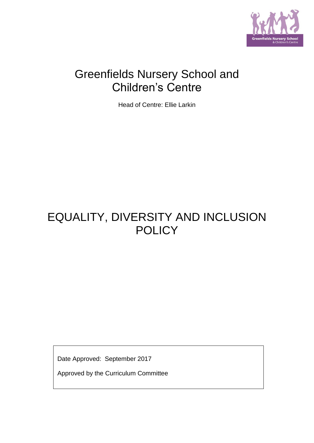

# Greenfields Nursery School and Children's Centre

Head of Centre: Ellie Larkin

# EQUALITY, DIVERSITY AND INCLUSION **POLICY**

Date Approved: September 2017

Approved by the Curriculum Committee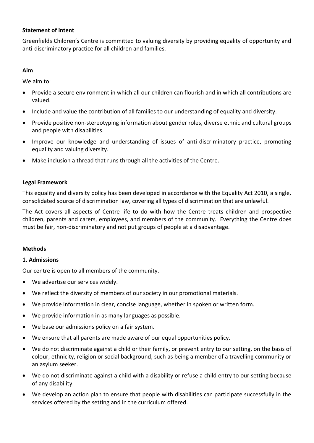## **Statement of intent**

Greenfields Children's Centre is committed to valuing diversity by providing equality of opportunity and anti-discriminatory practice for all children and families.

## **Aim**

We aim to:

- Provide a secure environment in which all our children can flourish and in which all contributions are valued.
- Include and value the contribution of all families to our understanding of equality and diversity.
- Provide positive non-stereotyping information about gender roles, diverse ethnic and cultural groups and people with disabilities.
- Improve our knowledge and understanding of issues of anti-discriminatory practice, promoting equality and valuing diversity.
- Make inclusion a thread that runs through all the activities of the Centre.

### **Legal Framework**

This equality and diversity policy has been developed in accordance with the Equality Act 2010, a single, consolidated source of discrimination law, covering all types of discrimination that are unlawful.

The Act covers all aspects of Centre life to do with how the Centre treats children and prospective children, parents and carers, employees, and members of the community. Everything the Centre does must be fair, non-discriminatory and not put groups of people at a disadvantage.

### **Methods**

### **1. Admissions**

Our centre is open to all members of the community.

- We advertise our services widely.
- We reflect the diversity of members of our society in our promotional materials.
- We provide information in clear, concise language, whether in spoken or written form.
- We provide information in as many languages as possible.
- We base our admissions policy on a fair system.
- We ensure that all parents are made aware of our equal opportunities policy.
- We do not discriminate against a child or their family, or prevent entry to our setting, on the basis of colour, ethnicity, religion or social background, such as being a member of a travelling community or an asylum seeker.
- We do not discriminate against a child with a disability or refuse a child entry to our setting because of any disability.
- We develop an action plan to ensure that people with disabilities can participate successfully in the services offered by the setting and in the curriculum offered.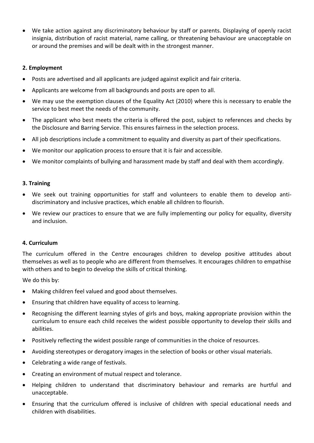• We take action against any discriminatory behaviour by staff or parents. Displaying of openly racist insignia, distribution of racist material, name calling, or threatening behaviour are unacceptable on or around the premises and will be dealt with in the strongest manner.

## **2. Employment**

- Posts are advertised and all applicants are judged against explicit and fair criteria.
- Applicants are welcome from all backgrounds and posts are open to all.
- We may use the exemption clauses of the Equality Act (2010) where this is necessary to enable the service to best meet the needs of the community.
- The applicant who best meets the criteria is offered the post, subject to references and checks by the Disclosure and Barring Service. This ensures fairness in the selection process.
- All job descriptions include a commitment to equality and diversity as part of their specifications.
- We monitor our application process to ensure that it is fair and accessible.
- We monitor complaints of bullying and harassment made by staff and deal with them accordingly.

## **3. Training**

- We seek out training opportunities for staff and volunteers to enable them to develop antidiscriminatory and inclusive practices, which enable all children to flourish.
- We review our practices to ensure that we are fully implementing our policy for equality, diversity and inclusion.

## **4. Curriculum**

The curriculum offered in the Centre encourages children to develop positive attitudes about themselves as well as to people who are different from themselves. It encourages children to empathise with others and to begin to develop the skills of critical thinking.

We do this by:

- Making children feel valued and good about themselves.
- Ensuring that children have equality of access to learning.
- Recognising the different learning styles of girls and boys, making appropriate provision within the curriculum to ensure each child receives the widest possible opportunity to develop their skills and abilities.
- Positively reflecting the widest possible range of communities in the choice of resources.
- Avoiding stereotypes or derogatory images in the selection of books or other visual materials.
- Celebrating a wide range of festivals.
- Creating an environment of mutual respect and tolerance.
- Helping children to understand that discriminatory behaviour and remarks are hurtful and unacceptable.
- Ensuring that the curriculum offered is inclusive of children with special educational needs and children with disabilities.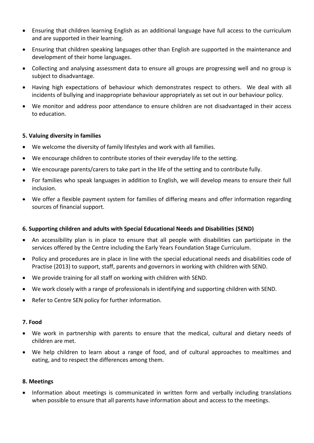- Ensuring that children learning English as an additional language have full access to the curriculum and are supported in their learning.
- Ensuring that children speaking languages other than English are supported in the maintenance and development of their home languages.
- Collecting and analysing assessment data to ensure all groups are progressing well and no group is subject to disadvantage.
- Having high expectations of behaviour which demonstrates respect to others. We deal with all incidents of bullying and inappropriate behaviour appropriately as set out in our behaviour policy.
- We monitor and address poor attendance to ensure children are not disadvantaged in their access to education.

## **5. Valuing diversity in families**

- We welcome the diversity of family lifestyles and work with all families.
- We encourage children to contribute stories of their everyday life to the setting.
- We encourage parents/carers to take part in the life of the setting and to contribute fully.
- For families who speak languages in addition to English, we will develop means to ensure their full inclusion.
- We offer a flexible payment system for families of differing means and offer information regarding sources of financial support.

### **6. Supporting children and adults with Special Educational Needs and Disabilities (SEND)**

- An accessibility plan is in place to ensure that all people with disabilities can participate in the services offered by the Centre including the Early Years Foundation Stage Curriculum.
- Policy and procedures are in place in line with the special educational needs and disabilities code of Practise (2013) to support, staff, parents and governors in working with children with SEND.
- We provide training for all staff on working with children with SEND.
- We work closely with a range of professionals in identifying and supporting children with SEND.
- Refer to Centre SEN policy for further information.

### **7. Food**

- We work in partnership with parents to ensure that the medical, cultural and dietary needs of children are met.
- We help children to learn about a range of food, and of cultural approaches to mealtimes and eating, and to respect the differences among them.

### **8. Meetings**

• Information about meetings is communicated in written form and verbally including translations when possible to ensure that all parents have information about and access to the meetings.